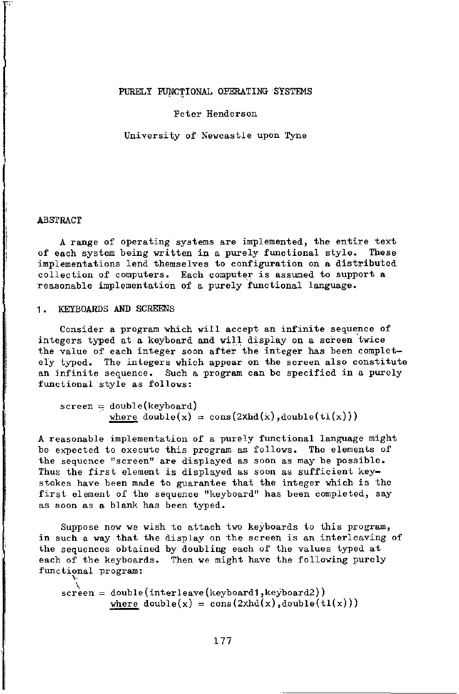## Peter Henderson

University of Newcastle upon Tyne

### ABSTRACT

A range of operating systems are implemented, the entire text of each system being written in a purely functional style. These implementations lend themselves to configuration on a distributed collection of computers. Each computer is assumed to support a reasonable implementation of a purely functional language.

## 1. KEYBOARDS AND SCREENS

Consider a program which will accept an infinite sequence of integers typed at a keyboard and will display on a screen twice the value of each integer soon after the integer has been completely typed. The integers which appear on the screen also constitute an infinite sequence. Such a program can be specified in a purely functional style as follows:

 $screen = double(keyboard)$ where  $double(x) = cons(2Xhd(x), double(t1(x)))$ 

A reasonable implementation of a purely functional language might be expected to execute this program as follows. The elements of the sequence "screen" are displayed as soon as may be possible. Thus the first element is displayed as soon as sufficient keystokes have been made to guarantee that the integer which is the first element of the sequence "keyboard" has been completed, say as soon as a blank has been typed.

Suppose now we wish to attach two keyboards to this program, in such a way that the display on the screen is an interleaving of the sequences obtained by doubling each of the values typed at each of the keyboards. Then we might have the following purely functional program:

screen = double(interleave(keyboard1,keyboard2)) where  $double(x) = cons(2xhd(x),double(t1(x)))$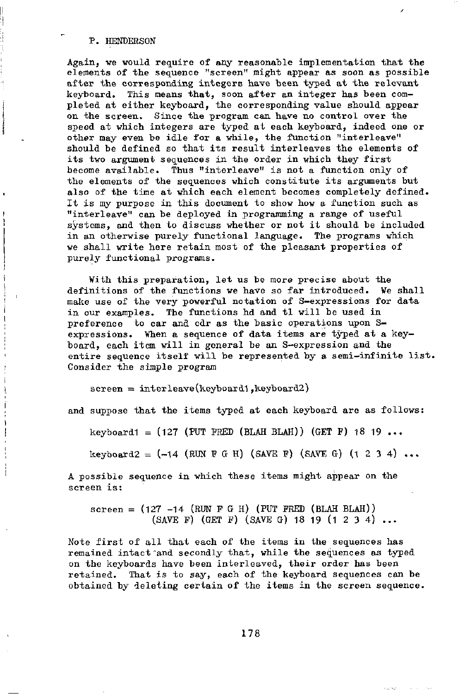Again, we would require of any reasonable implementation that the elements of the sequence "screen" might appear as soon as possible after the corresponding integers have been typed at the relevant keyboard. This means that, soon after an integer has been completed at either keyboard, the corresponding value should appear on the screen. Since the program can have no control over the speed at which integers are typed at each keyboard, indeed one or other may even be idle for a while, the function "interleave" should be defined so that its result interleaves the elements of its two argument sequences in the order in which they first become available. Thus "interleave" is not a function only of the elements of the sequences which constitute its arguments but also of the time at which each element becomes completely defined. It is my purpose in this document to show how a function such as "interleave" can be deployed in programming a range of useful systems, and then to discuss whether or not it should be included in an otherwise purely functional language. The programs which we shall write here retain most of the pleasant properties of purely functional programs.

¥ith this preparation, let us be more precise about the definitions of the functions we have so far introduced. We shall make use of the very powerful notation of S-expressions for data in our examples. The functions hd and tl will be used in preference to car and cdr as the basic operations upon Sexpressions. When a sequence of data items are typed at a keyboard, each item will in general be an S-expression and the entire sequence itself will be represented by a semi-infinite list, Consider the simple program

 $screen = interleave(keyboard1,keyboard2)$ 

and suppose that the items typed at each keyboard are as follows:

keyboard1 =  $(127$  (PUT FRED (BLAH BLAH)) (GET F) 18 19 ...

keyboard2 = (-14 (RUN F *G* H) (SAVE F) (SAVE G) (1 2 3 4) ...

A possible sequence in which these items might appear on the screen is:

 $screen = (127 -14 (RUN F G H) (PUT FRED (BLAH BLAH))$  $(SAVE F)$  (GET F)  $(SAVE G)$  18 19 (1 2 3 4) ...

Note first of all that each of the items in the sequences has remained intact "and secondly that, while the sequences as typed on the keyboards have been interleaved, their order has been retained. That is to say, each of the keyboard sequences can be obtained by deleting certain of the items in the screen sequence.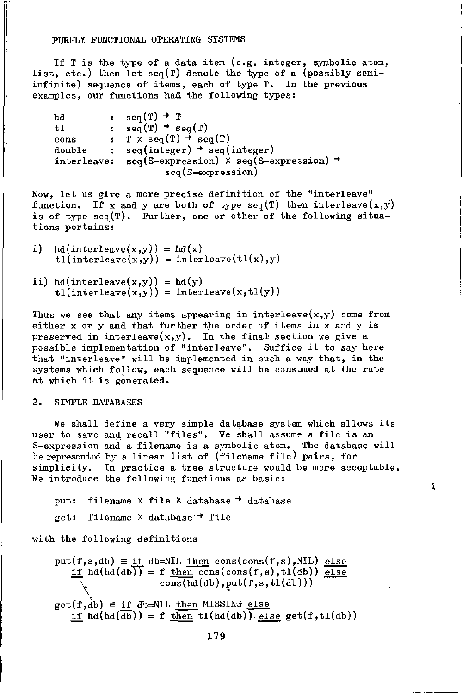If T is the type of a data item (e.g. integer, symbolic atom, list, etc.) then let  $seq(T)$  denote the type of a (possibly semiinfinite) sequence of items, each of type T. In the previous examples, our functions had the following types:

```
seq(T) + Thd 
                  \ddot{\cdot}\mathfrak{se}_q(T) \rightarrow \mathfrak{se}_q(T)t1: T \times \text{seq}(T) \rightarrow \text{seq}(T)cons 
double 
                 : seq(integer) \rightarrow seq(integer)
{\tt interleave:}\quad{\tt seq}({\tt S}{\tt-expression})\,\times\,{\tt seq}({\tt S}{\tt-expression}) -
                                   seq(S-expression)
```
Now, let us give a more precise definition of the "interleave" function. If x and y are both of type seq(T) then interleave $(x,y)$ is of type  $seq(T)$ . Further, one or other of the following situations pertains:

- i)  $hd(interleave(x,y)) = hd(x)$  $tl(interleave(x,y)) = interleave(tl(x),y)$
- ii) hd(interleave(x,y)) = hd(y)  $t1(interleave(x,y)) = interleave(x,t1(y))$

Thus we see that any items appearing in interleave $(x,y)$  come from either x or y and that further the order of items in x and y is preserved in interleave $(x,y)$ . In the final section we give a possible implementation of "interleave". Suffice it to say here that "interleave" will be implemented in such a way that, in the systems which follow, each sequence will be consumed at the rate at which it is generated.

## 2. SIMPLE DATABASES

We shall define a very simple database system which allows its user to save and recall "files". We shall assume a file is an S-expression and a filename is a symbolic atom. The database will be represented by a linear list of (filename file) pairs, for simplicity. In practice a tree structure would be more acceptable. We introduce the following functions as basic:

1

```
put: filename \times file \times database \rightarrow database
get: filename \times database \rightarrow file
```
with the following definitions

 $put(f,s,db) \equiv \underline{if} db=NIL \underline{then} cons(cons(f,s),NIL) \underline{else}$ if  $hd(dd)(db)$  = f then cons(cons(f,s),tl(db)) else  $\overline{\text{cons}(\text{hd}(\text{db}),\text{put}(f,s,t1(\text{db})))}$  $get(f, db) \equiv if db = NIL$  then MISSING else if  $hd(\overline{db}) = f$  then  $tl(hd(db))$  else get(f,tl(db))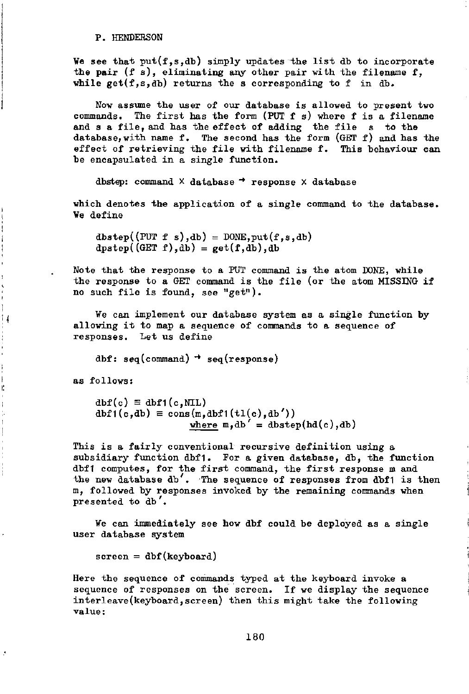We see that  $put(f,s,db)$  simply updates the list db to incorporate the pair  $(f s)$ , eliminating any other pair with the filename f, while  $get(f,s,db)$  returns the s corresponding to f in db.

Now assume the user of our database is allowed to present two commands. The first has the form (PUT  $f$  s) where  $f$  is a filename and s a file, and has the effect of adding the file s to the database, with name f. The second has the form  $(GET f)$  and has the effect of retrieving the file with filename f. This behaviour can be encapsulated in a single function.

dbstep: command  $\times$  database  $\rightarrow$  response  $\times$  database

which denotes the application of a single command to the database. We define

 $dbstep((PUT f s), db) = DONE, put(f, s, db)$  $dpstep((GET f), db) = get(f, db), db$ 

Note that the response to a PUT command is the atom DONE, while the response to a GET command is the file (or the atom MISSING if no such file is found, see "get").

We can implement our database system as a single function by allowing it to map a sequence of commands to a sequence of responses. Let us define

dbf: seq(command)  $\rightarrow$  seq(response)

as follows:

Ħ

 $\begin{array}{c} \frac{1}{2} & \frac{1}{2} \\ \frac{1}{2} & \frac{1}{2} \\ \frac{1}{2} & \frac{1}{2} \end{array}$ 

ŀ,

 $dbf(c) \equiv dbf1(c, NIL)$  $dbf1(c,db) \equiv \text{cons}(m,dbf1(t1(c),db'))$ where  $m, db' = dbstep(hd(c), db)$ 

This is a fairly conventional recursive definition using a subsidiary function dbf1. For a given database, db, the function dbfl computes, for the first command, the first response m and the new database db'. The sequence of responses from dbf1 is then m, followed by responses invoked by the remaining commands when presented to db'.

We can immediately see how dbf could be deployed as a single user database system

 $screen = dbf(keyboard)$ 

Here the sequence of commands typed at the keyboard invoke a sequence of responses on the screen. If we display the sequence interleave(keyboard,screen) then this might take the following value: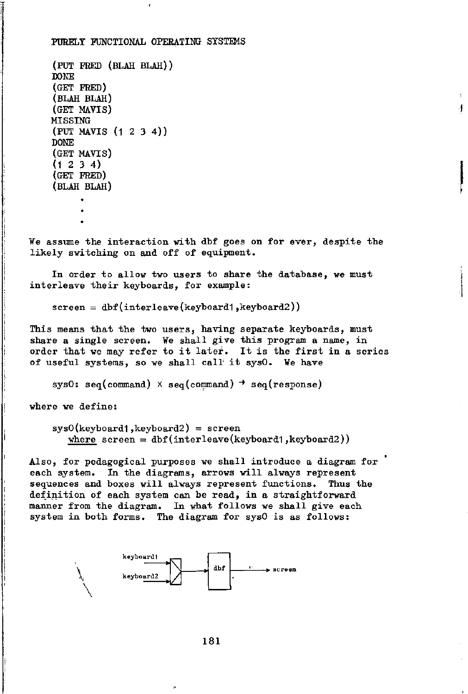```
(PUT FRED (BLAH BLAH)) 
DONE 
(GET FRED) 
(BLAH BLAH) 
(GET MAVTS) 
MISSING 
(PUT MAVIS (12 3 4)) 
DONE 
(GET MAVIS) 
(1234){GET FRED) 
(BLAH BLAH)
```
We assume the interaction with dbf goes on for ever, despite the likely switching on and off of equipment.

ł.

In order to allow two users to share the database, we must interleave their keyboards, for example:

 $screen = dbf(interleave(keyboard1,keyboard2))$ 

This means that the two users, having separate keyboards, must share a single screen. We shall give this program a name, in order that we may refer to it later. It is the first in a series of useful systems, so we shall call it sys0. We have

sysO: seq(command)  $\times$  seq(command)  $\rightarrow$  seq(response)

where we define:

**\** 

 $sys0(keyboard1,keyboard2) = screen$ where  $s$ creen = dbf(interleave(keyboard1,keyboard2))

Also, for pedagogical purposes we shall introduce a diagram for each system. In the diagrams, arrows will always represent sequences and boxes will always represent functions. Thus the definition of each system can be read, in a straightforward manner from the diagram. In what follows we shall give each system in both forms. The diagram for sysO is as follows:

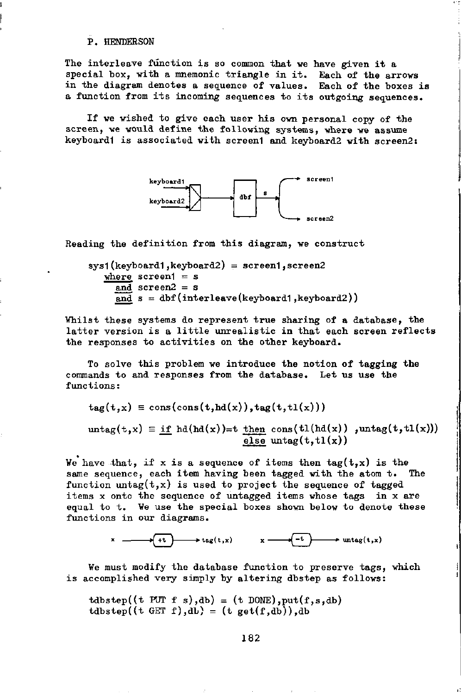The interleave function is so common that we have given it a special box, with a mnemonic triangle in it. Each of the arrows in the diagram denotes a sequence of values. Each of the boxes is a function from its incoming sequences to its outgoing sequences.

If we wished to give each user his own personal copy of the screen, we would define the following systems, where we assume keyboard1 is associated with screen1 and keyboard2 with screen2:



Reading the definition from this diagram, we construct

 $sys1(keyboard1,keyboard2) = screen1,screen2$ where  $screen1 = s$ and  $screen2 = s$  $\overline{and}$  s = dbf(interleave(keyboard1, keyboard2))

Whilst these systems do represent true sharing of a database, the latter version is a little unrealistic in that each screen reflects the responses to activities on the other keyboard.

To solve this problem we introduce the notion of tagging the commands to and responses from the database. Let us use the functions:

 $tag(t,x) \equiv const(const(t, hd(x)),tag(t, tl(x)))$ 

 ${\rm untag(t,x)} \equiv \underline{if} \text{hd}(\text{hd}(x))=t$  then cons(tl(hd(x)) ,untag(t,tl(x))) else  $untag(t, t1(x))$ 

We have that, if x is a sequence of items then  $tag(t,x)$  is the same sequence, each item having been tagged with the atom t. The function untag $(t,x)$  is used to project the sequence of tagged items x onto the sequence of untagged items whose tags in x are equal to t. We use the special boxes shown below to denote these functions in our diagrams.

 $\rightarrow$  tag(t,x)  $x \rightarrow$  (-t)  $\rightarrow$  untag(t,x)

We must modify the database function to preserve tags, which is accomplished very simply by altering dbstep as follows:

 $tdbstep((t \text{ PUT } f \text{ s}),db) = (t \text{ DONE}), put(f, s, db)$  $tdbstep((t GET f),db) = (t get(f,db)),db$ 

182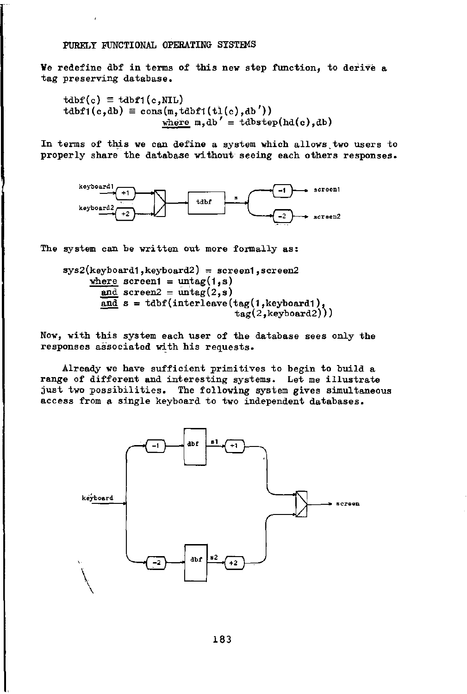Ve redefine dbf in terms of this new step function, to derive a tag preserving database.

 $tdbf(c) \equiv tdbf1(c,NIL)$  $tdbf( c,db) \equiv \text{cons}(\text{m},tdbf( t\text{it}(c),db'))$ where  $m, db' = tdbstep(hd(c), db)$ 

In terms of this we can define a system which allows,two users to properly share the database without seeing each others responses.



The system can be written out more formally as:

 $sys2(keyboard1,keyboard2) = screen1,screen2$ where screeni =  $untag(1,s)$ and screen2 =  $untag(2,s)$  $\overline{and}$  s = tdbf(interleave(tag(1, keyboard1), tag(2,keyboard2)))

Now, with this system each user of the database sees only the responses associated with his requests.

Already we have sufficient primitives to begin to build a range of different and interesting systems. Let me illustrate just two possibilities. The following system gives simultaneous access from a single keyboard to two independent databases.

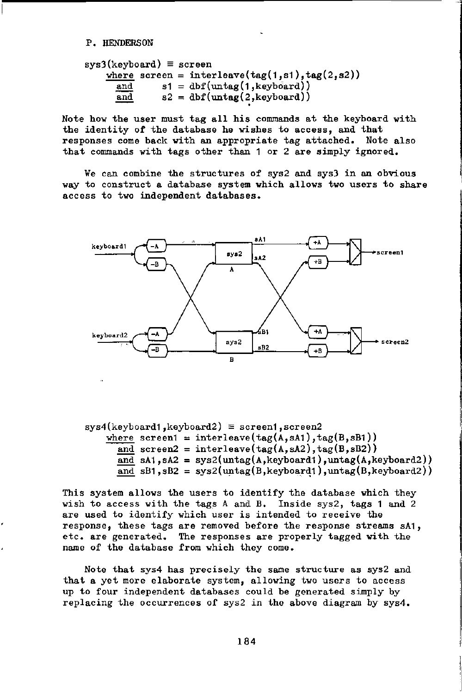$$
sys3(keyboard) \equiv screen
$$
  
\n
$$
\frac{where}{and} \quad s1 = dbf(untag(1, s1), tag(2, s2))
$$
  
\n
$$
\frac{and}{and} \quad s2 = dbf(untag(2, keyboard))
$$

Note how the user must tag all his commands at the keyboard with the identity of the database he wishes to access, and that responses come back with an appropriate tag attached. Note also that commands with tags other than 1 or 2 are simply ignored.

We can combine the structures of sys2 and sys3 in an obvious way to construct a database system which allows two users to share access to two independent databases.



 $sys4(keyboard1,keyboard2) \equiv screen1,screen2$ where screen1 = interleave(tag(A,sA1), tag(B,sB1)) and screen2 = interleave( $tag(A, sA2)$ ,  $tag(B, sB2)$ ) and sA1, sA2 =  $sys2(untag(A,keyboard),untag(A,keyboard))$ and  $sB1$ ,  $sB2 = sys2(untag(B, keyboard1), untag(B, keyboard2))$ 

This system allows the users to identify the database which they wish to access with the tags A and B. Inside sys2, tags 1 and 2 are used to identify which user is intended to receive the response, these tags are removed before the response streams sA1, etc. are generated. The responses are properly tagged with the name of the database from which they come.

Note that sys4 has precisely the same structure as sys2 and that a yet more elaborate system, allowing two users to access up to four independent databases could be generated simply by replacing the occurrences of sys2 in the above diagram by sys4.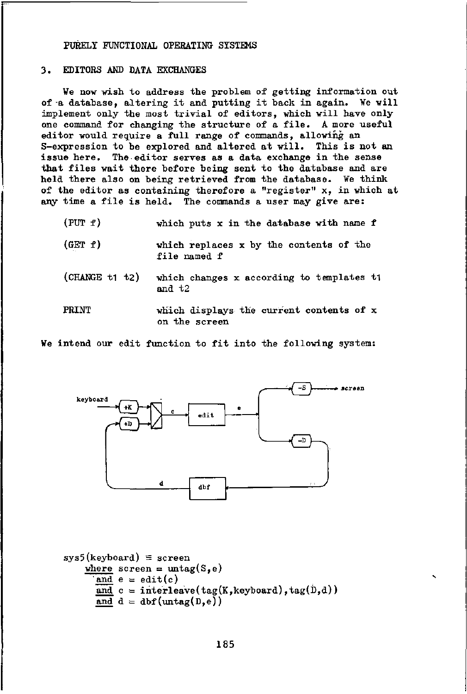# 3. EDITORS AND DATA EXCHANGES

We now wish to address the problem of getting information out of-a database, altering it and putting it back in again. We will implement only the most trivial of editors, which will have only one command for changing the structure of a file. A more useful editor would require a full range of commands, allowing an S-expression to be explored and altered at will. This is not an issue here. The editor serves as a data exchange in the sense that files wait there before being sent to the database and are held there also on being retrieved from the database. Ve think of the editor as containing therefore a "register" x, in which at any time a file is held. The commands a user may give are:

| (PUT f)        | which puts x in the database with name f                  |
|----------------|-----------------------------------------------------------|
| (GET f)        | which replaces x by the contents of the<br>file named f   |
| (CHANGE t1 t2) | which changes x according to templates ti<br>and $t2$     |
| <b>PRINT</b>   | which displays the current contents of x<br>on the screen |

We intend our edit function to fit into the following system:



```
sys5(keyboard) \equiv screenwhere screen = \text{untag}(S,e)and e = edit(c)and c = interleave(tag(K, keyboard), tag(D,d))
       \overline{\text{and}} d = dbf(untag(D,e))
```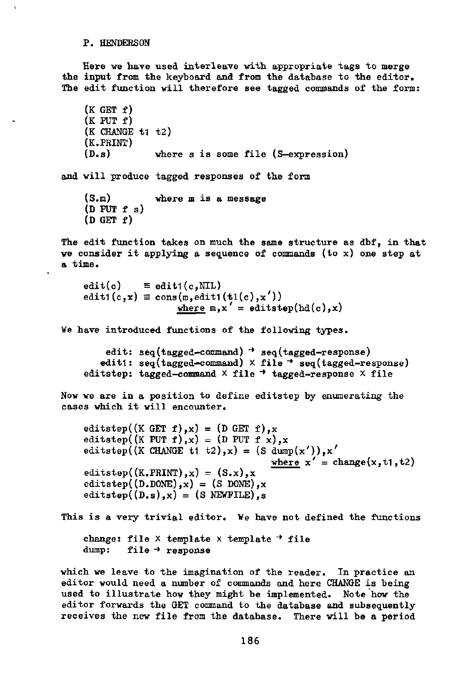Here we have used interleave with appropriate tags to merge the input from the keyboard and from the database to the editor. The edit function will therefore see tagged commands of the form:

```
(K GET f)(K PUT f)(K CHANGE t_1 t_2)
    (K.PRINT)<br>(D.s)where s is some file (S-expression)
and will produce tagged responses of the form 
    (S.m) where m is a message 
    (D PUT f s)
    (D GET f)The edit function takes on much the same structure as dbf, in that 
we consider it applying a sequence of commands (to x) one step at
a time. 
    edit(c) \equiv edit1(c,NIL)
    edit1(c,x) \equiv cons(m,edit1(t1(c),x'))where m, x' = editstep(hd(c),x)
We have introduced functions of the following types.
```

```
edit: seq(tagger-command) \rightarrow seq(tagger-response)edit1: seq(tagged-command) \times file \rightarrow seq(tagged-response)
editstep: tagged-command \times file \rightarrow tagged-response \times file
```
Now we are in a position to define editstep by enumerating the cases which it will encounter.

editstep((K GET f), x) = (D GET f), x editstep((K PUT f), x) = (D PUT f x), x editstep((K CHANGE t1 t2), x) = (S dump(x')), x' where  $x' = change(x, t1, t2)$ editstep( $(K.PRINT)$ , x) =  $(S.x)$ , x editstep( $(D.DONE)$ ,x) = (S DONE),x editstep $((D,s),x) = (S \text{ NEWFILE}).s$ 

This is a very trivial editor. We have not defined the functions change: file  $\times$  template  $\times$  template  $\rightarrow$  file

dump: file  $\rightarrow$  response

which we leave to the imagination of the reader. In practice an editor would need a number of commands and here CHANGE is being used to illustrate how they might be implemented. Note how the editor forwards the GET command to the database and subsequently receives the new file from the database. There will be a period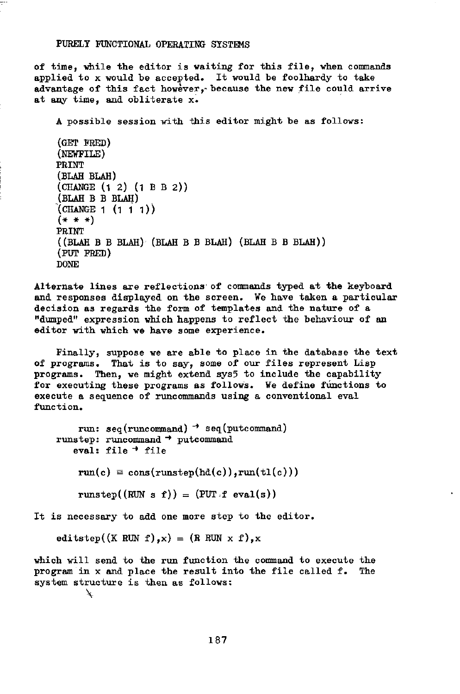of time, while the editor is waiting for this file, when commands applied to x would be accepted. It would be foolhardy to take advantage of this fact however, because the new file could arrive at any time, and obliterate x.

A possible session with this editor might be as follows:

```
(GET FRED) 
(NEWFILE) 
PRINT 
(BLAH BLAH) 
(CHANGE (1 2) (1 B B 2)) 
(BLAH B B BLAH) 
(CHANGE 1 (1 1 1)) 
(* + +)PRINT 
((BLAH B B BLAH) (BLAH B B BLAH) (BLAH B B BLAH)) 
(PUT FRED) 
DONE
```
Alternate lines are reflections' of commands typed at the keyboard and responses displayed on the screen. We have taken a particular decision as regards the form of templates and the nature of a "dumped" expression which happens to reflect the behaviour of an editor with which we have some experience.

Finally, suppose we are able to place in the database the text of programs. That is to say, some of our files represent Lisp programs. Then, we might extend sys5 to include the capability for executing these programs as follows. We define functions to execute a sequence of runcommands using a conventional eval function.

run: seq(runcommand) *~\** seq(putcommand) runstep: runcommand  $\rightarrow$  putcommand eval: file  $+$  file

 $run(c) \equiv cons(runstep(hd(c)),run(t1(c)))$ 

runstep((RUN s f)) = (PUT.f eval(s))

It is necessary to add one more step to the editor.

editstep((K RUN f),x) = (R RUN x f),x

which will send to the run function the command to execute the program in x and place the result into the file called f. The system structure is then as follows:  $\mathbf{v}$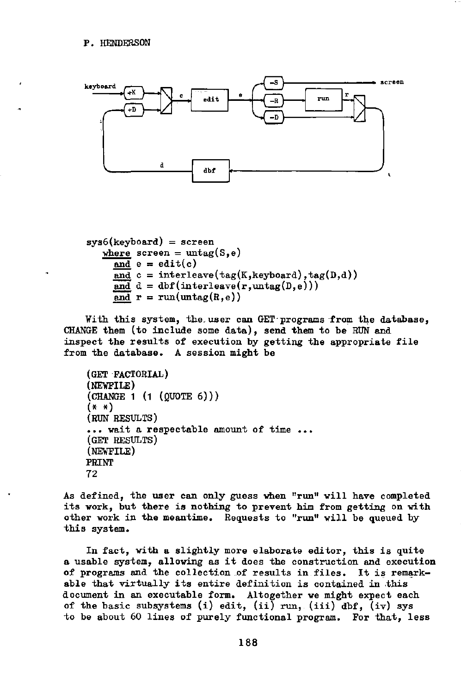

```
sys6(keyboard) = screenwhere screen = untag(S,e)and e = edit(c)and c = interleave(tag(K, keyboard), tag(D,d))
    and d = dbf(interleave(r,untag(D,e)))and r = run(untag(R,e))
```
With this system, the.user can GET-programs from the database, CHANGE them (to include some data), send them to be RUN and inspect the results of execution by getting the appropriate file from the database. A session might be

```
(GET FACTORIAL) 
(NEVFILE) 
(CHANGE 1 (1 (QUOTE 6))) 
(* *) 
(RUN RESULTS) 
... wait a respectable amount of time ... 
(GET RESULTS) 
(NEWFILE) 
PRINT 
72
```
As defined, the user can only guess when "run" will have completed its work, but there is nothing to prevent him from getting on with other work in the meantime. Requests to "run" will be queued by this system.

In fact, with a slightly more elaborate editor, this is quite a usable system, allowing as it does the construction and execution of programs and the collection of results in files. It is remarkable that virtually its entire definition is contained in this document in an executable form. Altogether we might expect each of the basic subsystems (i) edit, (ii) run, (iii) dbf, (iv) sys to be about 60 lines of purely functional program. For that, less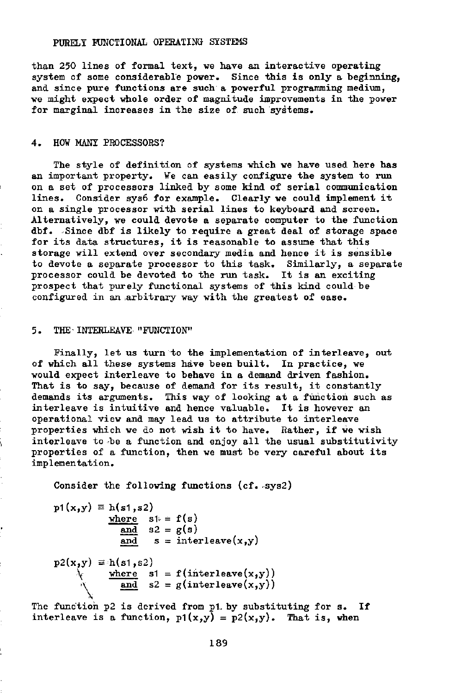than 250 lines of formal text, we have an interactive operating system of some considerable power. Since this is only a beginning, and since pure functions are such a powerful programming medium, we might expect whole order of magnitude improvements in the power for marginal increases in the size of such systems.

## 4. HOW MANY PROCESSORS?

The style of definition of systems which we have used here has an important property. We can easily configure the system to run on a set of processors linked by some kind of serial communication lines. Consider sys6 for example. Clearly we could implement it on a single processor with serial lines to keyboard and screen. Alternatively, we could devote a separate computer to the function dbf. Since dbf is likely to require a great deal of storage space for its data structures, it is reasonable to assume that this storage will extend over secondary media and hence it is sensible to devote a separate processor to this task. Similarly, a separate processor could be devoted to the run task. It is an exciting prospect that purely functional systems of this kind could be configured in an arbitrary way with the greatest of ease.

#### 5. THE-INTERLEAVE "FUNCTION"

Finally, let us turn to the implementation of interleave, out of which all these systems have been built. In practice, we would expect interleave to behave in a demand driven fashion. That is to say, because of demand for its result, it constantly demands its arguments. This way of looking at a function such as interleave is intuitive and hence valuable. It is however an operational view and may lead us to attribute to interleave properties which we do not wish it to have. Rather, if we wish interleave to ^be a function and enjoy all the usual substitutivity properties of a function, then we must be very careful about its implementation.

Consider the following functions (cf. sys2)

 $p1(x,y) = h(s1,s2)$ where  $s\mathbf{1} = f(s)$ and  $s2 = g(s)$ and  $s =$  interleave $(x, y)$  $p2(x,y) \equiv h(s1,s2)$  $\;$  where s1 = f(interleave(x,y)) and  $s2 = g(interleave(x,y))$ 

The function p2 is derived from p1 by substituting for s. If interleave is a function,  $p1(x,y) = p2(x,y)$ . That is, when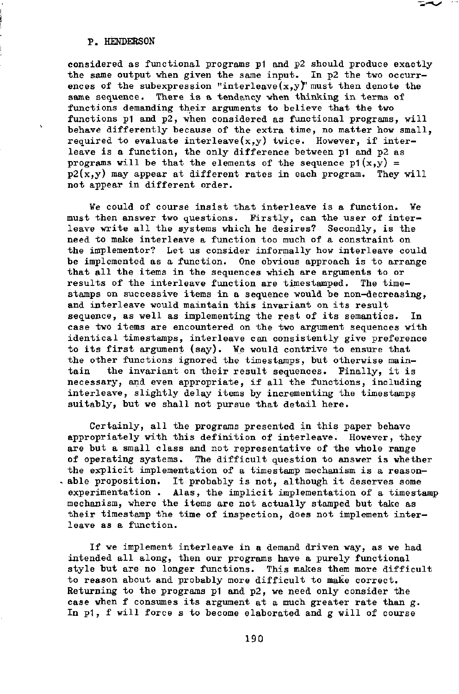considered as functional programs p1 and p2 should produce exactly the same output when given the same input. In p2 the two occurrences of the subexpression "interleave $(x,y)$ " must then denote the same sequence. There is a tendancy when thinking in terms of functions demanding their arguments to believe that the two functions p1 and p2, when considered as functional programs, will behave differently because of the extra time, no matter how small, required to evaluate interleave $(x,y)$  twice. However, if interleave is a function, the only difference between p1 and p2 as programs will be that the elements of the sequence  $p1(x,y) =$  $p2(x,y)$  may appear at different rates in each program. They will not appear in different order.

We could of course insist that interleave is a function. We must then answer two questions. Firstly, can the user of interleave write all the systems which he desires? Secondly, is the need to make interleave a function too much of a constraint on the implementor? Let us consider informally how interleave could be implemented as a function. One obvious approach is to arrange that all the items in the sequences which are arguments to or<br>results of the interleave function are timestamped. The timeresults of the interleave function are timestamped. stamps on successive items in a sequence would be non—decreasing, and interleave would maintain this invariant on its result sequence, as well as implementing the rest of its semantics. In case two items are encountered on the two argument sequences with identical timestamps, interleave can consistently give preference to its first argument (say). We would contrive to ensure that the other functions ignored the timestamps, but otherwise maintain the invariant on their result sequences. Finally, it is necessary, and even appropriate, if all the functions, including interleave, slightly delay items by incrementing the timestamps suitably, but we shall not pursue that detail here.

Certainly, all the programs presented in this paper behave appropriately with this definition of interleave. However, they are but a small class and not representative of the whole range of operating systems. The difficult question to answer is whether the explicit implementation of a timestamp mechanism is a reasonable proposition. It probably is not, although it deserves some experimentation . Alas, the implicit implementation of a timestamp mechanism, where the items are not actually stamped but take as their timestamp the time of inspection, does not implement interleave as a function.

If we implement interleave in a demand driven way, as we had intended all along, then our programs have a purely functional style but are no longer functions. This makes them more difficult to reason about and probably more difficult to make correct. Returning to the programs p1 and p2, we need only consider the case when f consumes its argument at a much greater rate than  $g$ . In p1, f will force s to become elaborated and g will of course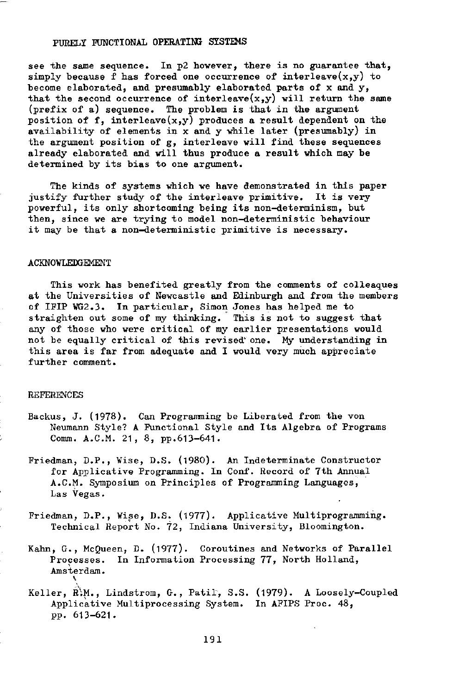see the same sequence. In p2 however, there is no guarantee that, simply because f has forced one occurrence of interleave $(x,y)$  to become elaborated, and presumably elaborated parts of x and y, that the second occurrence of interleave $(x,y)$  will return the same (prefix of a) sequence. The problem is that in the argument position of f, interleave $(x,y)$  produces a result dependent on the availability of elements in x and y while later (presumably) in the argument position of g, interleave will find these sequences already elaborated and will thus produce a result which may be determined by its bias to one argument.

The kinds of systems which we have demonstrated in this paper justify further study of the interleave primitive. It is very powerful, its only shortcoming being its non-determinism, but then, since we are trying to model non—deterministic behaviour it may be that a non-deterministic primitive is necessary.

#### ACKNOWLEDGEMENT

This work has benefited greatly from the comments of colleaques at the Universities of Newcastle and Edinburgh and from the members of IFIP WG2.3. In particular, Simon Jones has helped me to straighten out some of my thinking. This is not to suggest that any of those who were critical of my earlier presentations would not be equally critical of this revised' one. My understanding in this area is far from adequate and I would very much appreciate further comment.

#### REFERENCES

- Backus, J. (1978). Can Programming be Liberated from the von Neumann Style? A Functional Style and Its Algebra of Programs Comm. A.C.M. 21, 8, pp.613-641.
- Friedman, D.P., Wise, D.S. (1980). An Indeterminate Constructor for Applicative Programming. In Conf. Record of 7th Annual A.CM. Symposium on Principles of Programming Languages, Las Vegas.
- Friedman, D.P., Vise, D.S. (1977). Applicative Multiprogramming. Technical Report No. 72, Indiana University, Bloomington.
- Kahn, G., McQueen, D. (1977). Coroutines and Networks of Parallel Processes. In Information Processing 77, North Holland, Amsterdam.

Keller, R\M., Lindstrom, G., Patil, S.S. (1979). A Loosely-Coupled Applicative Multiprocessing System. In AFIPS Proc. 48, pp. 613-621.